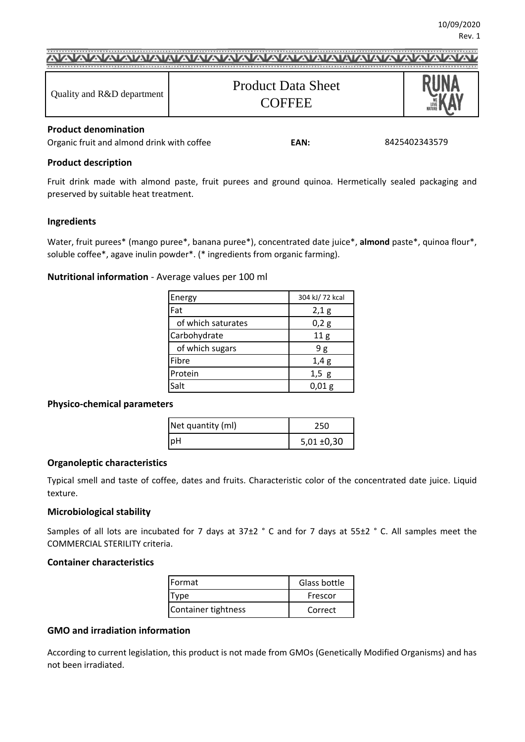| Quality and R&D department | <b>Product Data Sheet</b><br><b>COFFEE</b> |  |  |  |
|----------------------------|--------------------------------------------|--|--|--|

#### **Product denomination**

Organic fruit and almond drink with coffee **EAN:**

#### 8425402343579

#### **Product description**

Fruit drink made with almond paste, fruit purees and ground quinoa. Hermetically sealed packaging and preserved by suitable heat treatment.

#### **Ingredients**

Water, fruit purees\* (mango puree\*, banana puree\*), concentrated date juice\*, **almond** paste\*, quinoa flour\*, soluble coffee\*, agave inulin powder\*. (\* ingredients from organic farming).

#### **Nutritional information** - Average values per 100 ml

| Energy             | 304 kJ/72 kcal  |
|--------------------|-----------------|
| Fat                | 2,1 g           |
| of which saturates | 0,2g            |
| Carbohydrate       | 11 <sub>g</sub> |
| of which sugars    | 9g              |
| Fibre              | 1,4g            |
| Protein            | $1,5$ g         |
| Salt               | 0,01 g          |

#### **Physico-chemical parameters**

| Net quantity (ml) | 250             |
|-------------------|-----------------|
| <b>pH</b>         | $5,01 \pm 0,30$ |

#### **Organoleptic characteristics**

Typical smell and taste of coffee, dates and fruits. Characteristic color of the concentrated date juice. Liquid texture.

#### **Microbiological stability**

Samples of all lots are incubated for 7 days at 37±2 ° C and for 7 days at 55±2 ° C. All samples meet the COMMERCIAL STERILITY criteria.

#### **Container characteristics**

| <b>IFormat</b>      | Glass bottle |  |
|---------------------|--------------|--|
| vne                 | Frescor      |  |
| Container tightness | Correct      |  |

#### **GMO and irradiation information**

According to current legislation, this product is not made from GMOs (Genetically Modified Organisms) and has not been irradiated.